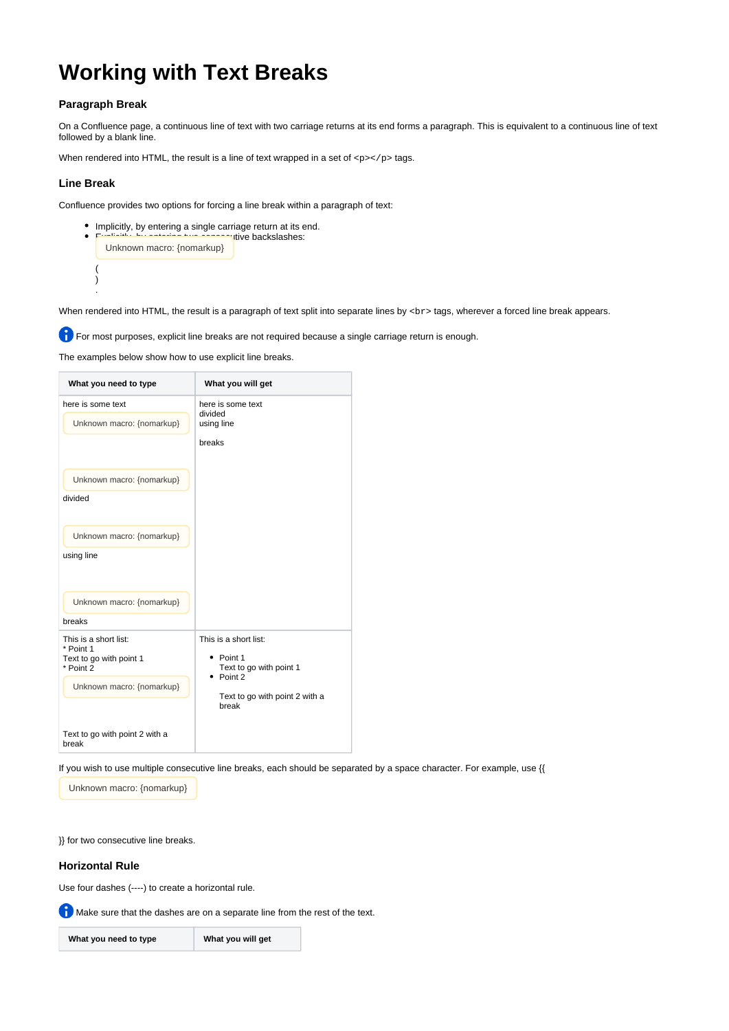# **Working with Text Breaks**

## **Paragraph Break**

On a Confluence page, a continuous line of text with two carriage returns at its end forms a paragraph. This is equivalent to a continuous line of text followed by a blank line.

When rendered into HTML, the result is a line of text wrapped in a set of  $\langle p \rangle \langle p \rangle$  tags.

#### **Line Break**

( ) .

Confluence provides two options for forcing a line break within a paragraph of text:

• Implicitly, by entering a single carriage return at its end. **utive backslashes:** Unknown macro: {nomarkup}

When rendered into HTML, the result is a paragraph of text split into separate lines by <br >>
tags, wherever a forced line break appears.

**T** For most purposes, explicit line breaks are not required because a single carriage return is enough.

The examples below show how to use explicit line breaks.

| What you need to type                                                                                   | What you will get                                                                                                                     |
|---------------------------------------------------------------------------------------------------------|---------------------------------------------------------------------------------------------------------------------------------------|
| here is some text<br>Unknown macro: {nomarkup}                                                          | here is some text<br>divided<br>using line<br>breaks                                                                                  |
| Unknown macro: {nomarkup}<br>divided                                                                    |                                                                                                                                       |
| Unknown macro: {nomarkup}<br>using line                                                                 |                                                                                                                                       |
| Unknown macro: {nomarkup}<br>breaks                                                                     |                                                                                                                                       |
| This is a short list:<br>* Point 1<br>Text to go with point 1<br>* Point 2<br>Unknown macro: {nomarkup} | This is a short list:<br>$\bullet$ Point 1<br>Text to go with point 1<br>$\bullet$ Point 2<br>Text to go with point 2 with a<br>break |
| Text to go with point 2 with a<br>break                                                                 |                                                                                                                                       |

If you wish to use multiple consecutive line breaks, each should be separated by a space character. For example, use {{

Unknown macro: {nomarkup}

}} for two consecutive line breaks.

### **Horizontal Rule**

Use four dashes (----) to create a horizontal rule.

Make sure that the dashes are on a separate line from the rest of the text.

**What you need to type What you will get**